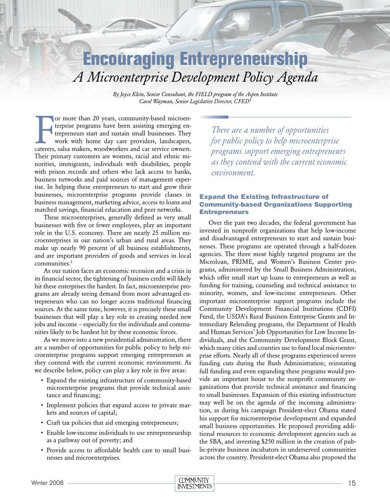# Encouraging Entrepreneurship *A Microenterprise Development Policy Agenda*

*By Joyce Klein, Senior Consultant, the FIELD program of the Aspen Institute Carol Wayman, Senior Legislative Director, CFED<sup>1</sup>*

For more than 20 years, community-based microen-<br>terprise programs have been assisting emerging en-<br>trepreneurs start and sustain small businesses. They<br>work with home day care providers, landscapers,<br>caterers, salsa maker or more than 20 years, community-based microenterprise programs have been assisting emerging entrepreneurs start and sustain small businesses. They work with home day care providers, landscapers, Their primary customers are women, racial and ethnic minorities, immigrants, individuals with disabilities, people with prison records and others who lack access to banks, business networks and paid sources of management expertise. In helping these entrepreneurs to start and grow their businesses, microenterprise programs provide classes in business management, marketing advice, access to loans and matched savings, financial education and peer networks.

These microenterprises, generally defined as very small businesses with five or fewer employees, play an important role in the U.S. economy. There are nearly 25 million microenterprises in our nation's urban and rural areas. They make up nearly 90 percent of all business establishments, and are important providers of goods and services in local communities.2

As our nation faces an economic recession and a crisis in its financial sector, the tightening of business credit will likely hit these enterprises the hardest. In fact, microenterprise programs are already seeing demand from more advantaged entrepreneurs who can no longer access traditional financing sources. At the same time, however, it is precisely these small businesses that will play a key role in creating needed new jobs and income – especially for the individuals and communities likely to be hardest hit by these economic forces.

As we move into a new presidential administration, there are a number of opportunities for public policy to help microenterprise programs support emerging entrepreneurs as they contend with the current economic environment. As we describe below, policy can play a key role in five areas:

- • Expand the existing infrastructure of community-based microenterprise programs that provide technical assistance and financing;
- • Implement policies that expand access to private markets and sources of capital;
- Craft tax policies that aid emerging entrepreneurs;
- Enable low-income individuals to use entrepreneurship as a pathway out of poverty; and
- Provide access to affordable health care to small businesses and microenterprises.

*There are a number of opportunities for public policy to help microenterprise programs support emerging entrepreneurs as they contend with the current economic environment.*

### Expand the Existing Infrastructure of Community-based Organizations Supporting **Entrepreneurs**

Over the past two decades, the federal government has invested in nonprofit organizations that help low-income and disadvantaged entrepreneurs to start and sustain businesses. These programs are operated through a half-dozen agencies. The three most highly targeted programs are the Microloan, PRIME, and Women's Business Center programs, administered by the Small Business Administration, which offer small start up loans to entrepreneurs as well as funding for training, counseling and technical assistance to minority, women, and low-income entrepreneurs. Other important microenterprise support programs include the Community Development Financial Institutions (CDFI) Fund, the USDA's Rural Business Enterprise Grants and Intermediary Relending programs, the Department of Health and Human Services' Job Opportunities for Low Income Individuals, and the Community Development Block Grant, which many cities and counties use to fund local microenterprise efforts. Nearly all of these programs experienced severe funding cuts during the Bush Administration; reinstating full funding and even expanding these programs would provide an important boost to the nonprofit community organizations that provide technical assistance and financing to small businesses. Expansion of this existing infrastructure may well be on the agenda of the incoming administration, as during his campaign President-elect Obama stated his support for microenterprise development and expanded small business opportunities. He proposed providing additional resources to economic development agencies such as the SBA, and investing \$250 million in the creation of public-private business incubators in underserved communities across the country. President-elect Obama also proposed the

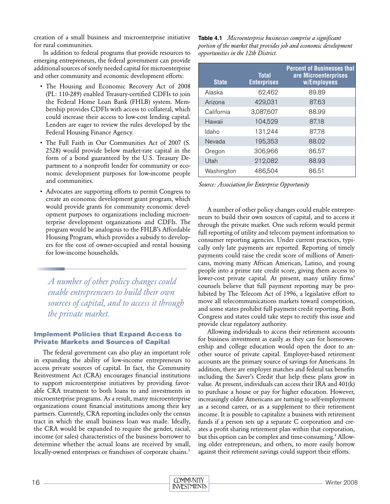creation of a small business and microenterprise initiative for rural communities.

In addition to federal programs that provide resources to emerging entrepreneurs, the federal government can provide additional sources of sorely needed capital for microenterprise and other community and economic development efforts:

- The Housing and Economic Recovery Act of 2008 (PL: 110-289) enabled Treasury-certified CDFIs to join the Federal Home Loan Bank (FHLB) system. Membership provides CDFIs with access to collateral, which could increase their access to low-cost lending capital. Lenders are eager to review the rules developed by the Federal Housing Finance Agency.
- The Full Faith in Our Communities Act of 2007 (S. 2528) would provide below market-rate capital in the form of a bond guaranteed by the U.S. Treasury Department to a nonprofit lender for community or economic development purposes for low-income people and communities.
- • Advocates are supporting efforts to permit Congress to create an economic development grant program, which would provide grants for community economic development purposes to organizations including microenterprise development organizations and CDFIs. The program would be analogous to the FHLB's Affordable Housing Program, which provides a subsidy to developers for the cost of owner-occupied and rental housing for low-income households.

*A number of other policy changes could enable entrepreneurs to build their own sources of capital, and to access it through the private market.*

### Implement Policies that Expand Access to Private Markets and Sources of Capital

The federal government can also play an important role in expanding the ability of low-income entrepreneurs to access private sources of capital. In fact, the Community Reinvestment Act (CRA) encourages financial institutions to support microenterprise initiatives by providing favorable CRA treatment to both loans to and investments in microenterprise programs. As a result, many microenterprise organizations count financial institutions among their key partners. Currently, CRA reporting includes only the census tract in which the small business loan was made. Ideally, the CRA would be expanded to require the gender, racial, income (or sales) characteristics of the business borrower to determine whether the actual loans are received by small, locally-owned enterprises or franchises of corporate chains.<sup>3</sup>

**Table 4.1** *Microenterprise businesses comprise a significant portion of the market that provides job and economic development opportunities in the 12th District.*

| <b>State</b> | <b>Total</b><br><b>Enterprises</b> | <b>Percent of Businesses that</b><br>are Microenterprises<br>w/Employees |
|--------------|------------------------------------|--------------------------------------------------------------------------|
| Alaska       | 62,462                             | 89.89                                                                    |
| Arizona      | 429,031                            | 87.63                                                                    |
| California   | 3,087,607                          | 88.99                                                                    |
| Hawaii       | 104,529                            | 87.18                                                                    |
| Idaho        | 131,244                            | 87.78                                                                    |
| Nevada       | 195,353                            | 88.02                                                                    |
| Oregon       | 306,966                            | 86.57                                                                    |
| Utah         | 212,082                            | 88.93                                                                    |
| Washington   | 486,504                            | 86.51                                                                    |

*Source: Association for Enterprise Opportunity*

A number of other policy changes could enable entrepreneurs to build their own sources of capital, and to access it through the private market. One such reform would permit full reporting of utility and telecom payment information to consumer reporting agencies. Under current practices, typically only late payments are reported. Reporting of timely payments could raise the credit score of millions of Americans, moving many African American, Latino, and young people into a prime rate credit score, giving them access to lower-cost private capital. At present, many utility firms' counsels believe that full payment reporting may be prohibited by The Telecom Act of 1996, a legislative effort to move all telecommunications markets toward competition, and some states prohibit full payment credit reporting. Both Congress and states could take steps to rectify this issue and provide clear regulatory authority.

Allowing individuals to access their retirement accounts for business investment as easily as they can for homeownership and college education would open the door to another source of private capital. Employer-based retirement accounts are the primary source of savings for Americans. In addition, there are employer matches and federal tax benefits including the Saver's Credit that help these plans grow in value. At present, individuals can access their IRA and 401(k) to purchase a house or pay for higher education. However, increasingly older Americans are turning to self-employment as a second career, or as a supplement to their retirement income. It is possible to capitalize a business with retirement funds if a person sets up a separate C corporation and creates a profit sharing retirement plan within that corporation, but this option can be complex and time-consuming.<sup>4</sup> Allowing older entrepreneurs, and others, to more easily borrow against their retirement savings could support their efforts.

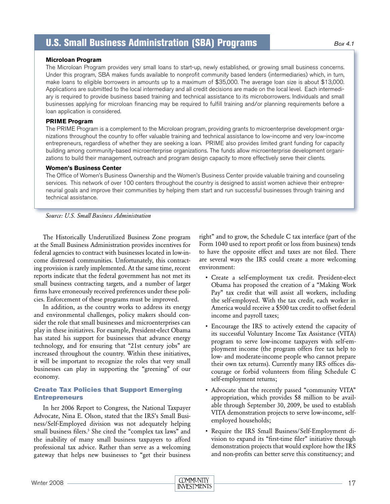## U.S. Small Business Administration (SBA) Programs

### **Microloan Program**

The Microloan Program provides very small loans to start-up, newly established, or growing small business concerns. Under this program, SBA makes funds available to nonprofit community based lenders (intermediaries) which, in turn, make loans to eligible borrowers in amounts up to a maximum of \$35,000. The average loan size is about \$13,000. Applications are submitted to the local intermediary and all credit decisions are made on the local level. Each intermediary is required to provide business based training and technical assistance to its microborrowers. Individuals and small businesses applying for microloan financing may be required to fulfill training and/or planning requirements before a loan application is considered.

### **PRIME Program**

The PRIME Program is a complement to the Microloan program, providing grants to microenterprise development organizations throughout the country to offer valuable training and technical assistance to low-income and very low-income entrepreneurs, regardless of whether they are seeking a loan. PRIME also provides limited grant funding for capacity building among community-based microenterprise organizations. The funds allow microenterprise development organizations to build their management, outreach and program design capacity to more effectively serve their clients.

### **Women's Business Center**

The Office of Women's Business Ownership and the Women's Business Center provide valuable training and counseling services. This network of over 100 centers throughout the country is designed to assist women achieve their entrepreneurial goals and improve their communities by helping them start and run successful businesses through training and technical assistance.

*Source: U.S. Small Business Administration*

The Historically Underutilized Business Zone program at the Small Business Administration provides incentives for federal agencies to contract with businesses located in low-income distressed communities. Unfortunately, this contracting provision is rarely implemented. At the same time, recent reports indicate that the federal government has not met its small business contracting targets, and a number of larger firms have erroneously received preferences under these policies. Enforcement of these programs must be improved.

In addition, as the country works to address its energy and environmental challenges, policy makers should consider the role that small businesses and microenterprises can play in these initiatives. For example, President-elect Obama has stated his support for businesses that advance energy technology, and for ensuring that "21st century jobs" are increased throughout the country. Within these initiatives, it will be important to recognize the roles that very small businesses can play in supporting the "greening" of our economy.

### Create Tax Policies that Support Emerging **Entrepreneurs**

In her 2006 Report to Congress, the National Taxpayer Advocate, Nina E. Olson, stated that the IRS's Small Business/Self-Employed division was not adequately helping small business filers.<sup>5</sup> She cited the "complex tax laws" and the inability of many small business taxpayers to afford professional tax advice. Rather than serve as a welcoming gateway that helps new businesses to "get their business

right" and to grow, the Schedule C tax interface (part of the Form 1040 used to report profit or loss from business) tends to have the opposite effect and taxes are not filed. There are several ways the IRS could create a more welcoming environment:

- • Create a self-employment tax credit. President-elect Obama has proposed the creation of a "Making Work Pay" tax credit that will assist all workers, including the self-employed. With the tax credit, each worker in America would receive a \$500 tax credit to offset federal income and payroll taxes;
- Encourage the IRS to actively extend the capacity of its successful Voluntary Income Tax Assistance (VITA) program to serve low-income taxpayers with self-employment income (the program offers free tax help to low- and moderate-income people who cannot prepare their own tax returns). Currently many IRS offices discourage or forbid volunteers from filing Schedule C self-employment returns;
- • Advocate that the recently passed "community VITA" appropriation, which provides \$8 million to be available through September 30, 2009, be used to establish VITA demonstration projects to serve low-income, selfemployed households;
- Require the IRS Small Business/Self-Employment division to expand its "first-time filer" initiative through demonstration projects that would explore how the IRS and non-profits can better serve this constituency; and

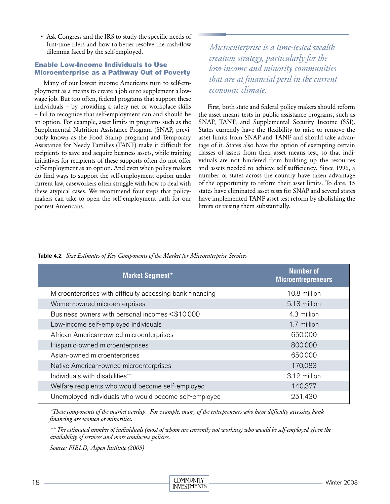• Ask Congress and the IRS to study the specific needs of first-time filers and how to better resolve the cash-flow dilemma faced by the self-employed.

### Enable Low-Income Individuals to Use Microenterprise as a Pathway Out of Poverty

Many of our lowest income Americans turn to self-employment as a means to create a job or to supplement a lowwage job. But too often, federal programs that support these individuals – by providing a safety net or workplace skills – fail to recognize that self-employment can and should be an option. For example, asset limits in programs such as the Supplemental Nutrition Assistance Program (SNAP, previously known as the Food Stamp program) and Temporary Assistance for Needy Families (TANF) make it difficult for recipients to save and acquire business assets, while training initiatives for recipients of these supports often do not offer self-employment as an option. And even when policy makers do find ways to support the self-employment option under current law, caseworkers often struggle with how to deal with these atypical cases. We recommend four steps that policymakers can take to open the self-employment path for our poorest Americans.

*Microenterprise is a time-tested wealth creation strategy, particularly for the low-income and minority communities that are at financial peril in the current economic climate.*

First, both state and federal policy makers should reform the asset means tests in public assistance programs, such as SNAP, TANF, and Supplemental Security Income (SSI). States currently have the flexibility to raise or remove the asset limits from SNAP and TANF and should take advantage of it. States also have the option of exempting certain classes of assets from their asset means test, so that individuals are not hindered from building up the resources and assets needed to achieve self sufficiency. Since 1996, a number of states across the country have taken advantage of the opportunity to reform their asset limits. To date, 15 states have eliminated asset tests for SNAP and several states have implemented TANF asset test reform by abolishing the limits or raising them substantially.

|  |  |  |  |  |  | Table 4.2 Size Estimates of Key Components of the Market for Microenterprise Services |
|--|--|--|--|--|--|---------------------------------------------------------------------------------------|
|--|--|--|--|--|--|---------------------------------------------------------------------------------------|

| <b>Market Segment*</b>                                    | <b>Number of</b><br><b>Microentrepreneurs</b> |
|-----------------------------------------------------------|-----------------------------------------------|
| Microenterprises with difficulty accessing bank financing | 10.8 million                                  |
| Women-owned microenterprises                              | 5.13 million                                  |
| Business owners with personal incomes <\$10,000           | 4.3 million                                   |
| Low-income self-employed individuals                      | 1.7 million                                   |
| African American-owned microenterprises                   | 650,000                                       |
| Hispanic-owned microenterprises                           | 800,000                                       |
| Asian-owned microenterprises                              | 650,000                                       |
| Native American-owned microenterprises                    | 170,083                                       |
| Individuals with disabilities**                           | 3.12 million                                  |
| Welfare recipients who would become self-employed         | 140,377                                       |
| Unemployed individuals who would become self-employed     | 251,430                                       |

*\*These components of the market overlap. For example, many of the entrepreneurs who have difficulty accessing bank financing are women or minorities.*

*\*\* The estimated number of individuals (most of whom are currently not working) who would be self-employed given the availability of services and more conducive policies.*

*Source: FIELD, Aspen Institute (2005)*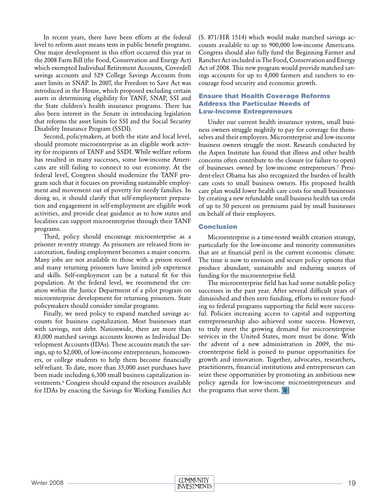In recent years, there have been efforts at the federal level to reform asset means tests in public benefit programs. One major development in this effort occurred this year in the 2008 Farm Bill (the Food, Conservation and Energy Act) which exempted Individual Retirement Accounts, Coverdell savings accounts and 529 College Savings Accounts from asset limits in SNAP. In 2007, the Freedom to Save Act was introduced in the House, which proposed excluding certain assets in determining eligibility for TANF, SNAP, SSI and the State children's health insurance programs. There has also been interest in the Senate in introducing legislation that reforms the asset limits for SSI and the Social Security Disability Insurance Program (SSDI).

Second, policymakers, at both the state and local level, should promote microenterprise as an eligible work activity for recipients of TANF and SSDI. While welfare reform has resulted in many successes, some low-income Americans are still failing to connect to our economy. At the federal level, Congress should modernize the TANF program such that it focuses on providing sustainable employment and movement out of poverty for needy families. In doing so, it should clarify that self-employment preparation and engagement in self-employment are eligible work activities, and provide clear guidance as to how states and localities can support microenterprise through their TANF programs.

Third, policy should encourage microenterprise as a prisoner re-entry strategy. As prisoners are released from incarceration, finding employment becomes a major concern. Many jobs are not available to those with a prison record and many returning prisoners have limited job experience and skills. Self-employment can be a natural fit for this population. At the federal level, we recommend the creation within the Justice Department of a pilot program on microenterprise development for returning prisoners. State policymakers should consider similar programs.

Finally, we need policy to expand matched savings accounts for business capitalization. Most businesses start with savings, not debt. Nationwide, there are more than 83,000 matched savings accounts known as Individual Development Accounts (IDAs). These accounts match the savings, up to \$2,000, of low-income entrepreneurs, homeowners, or college students to help them become financially self-reliant. To date, more than 35,000 asset purchases have been made including 6,300 small business capitalization investments.6 Congress should expand the resources available for IDAs by enacting the Savings for Working Families Act

(S. 871/HR 1514) which would make matched savings accounts available to up to 900,000 low-income Americans. Congress should also fully fund the Beginning Farmer and Rancher Act included in The Food, Conservation and Energy Act of 2008. This new program would provide matched savings accounts for up to 4,000 farmers and ranchers to encourage food security and economic growth.

### Ensure that Health Coverage Reforms Address the Particular Needs of Low-Income Entrepreneurs

Under our current health insurance system, small business owners struggle mightily to pay for coverage for themselves and their employees. Microenterprise and low-income business owners struggle the most. Research conducted by the Aspen Institute has found that illness and other health concerns often contribute to the closure (or failure to open) of businesses owned by low-income entrepreneurs.7 President-elect Obama has also recognized the burden of health care costs to small business owners. His proposed health care plan would lower health care costs for small businesses by creating a new refundable small business health tax credit of up to 50 percent on premiums paid by small businesses on behalf of their employees.

### Conclusion

Microenterprise is a time-tested wealth creation strategy, particularly for the low-income and minority communities that are at financial peril in the current economic climate. The time is now to envision and secure policy options that produce abundant, sustainable and enduring sources of funding for the microenterprise field.

The microenterprise field has had some notable policy successes in the past year. After several difficult years of diminished and then zero funding, efforts to restore funding to federal programs supporting the field were successful. Policies increasing access to capital and supporting entrepreneurship also achieved some success. However, to truly meet the growing demand for microenterprise services in the United States, more must be done. With the advent of a new administration in 2009, the microenterprise field is poised to pursue opportunities for growth and innovation. Together, advocates, researchers, practitioners, financial institutions and entrepreneurs can seize these opportunities by promoting an ambitious new policy agenda for low-income microentrepreneurs and the programs that serve them.

| Winter<br>2008 | <b>JITV</b><br>. MI<br>JNH<br>NITI<br>∼         |  |  |
|----------------|-------------------------------------------------|--|--|
| .              | $\sim$ can move $\sim$<br><b>INV</b><br>אי<br>. |  |  |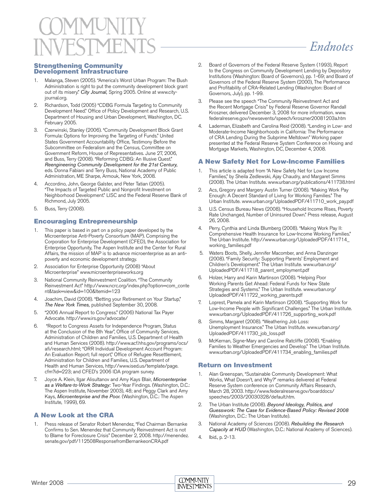# *Endnotes*

### Strengthening Community Development Infrastructure

- 1. Malanga, Steven (2005). "America's Worst Urban Program: The Bush Administration is right to put the community development block grant out of its misery." *City Journal,* Spring 2005. Online at www.cityjournal.org.
- 2. Richardson, Todd (2005) "CDBG Formula Targeting to Community Development Need." Office of Policy Development and Research, U.S. Department of Housing and Urban Development, Washington, DC. February 2005.
- 3. Czerwinski, Stanley (2006). "Community Development Block Grant Formula: Options for Improving the Targeting of Funds." United States Government Accountability Office, Testimony Before the Subcommittee on Federalism and the Census, Committee on Government Reform, House of Representatives. June 27, 2006, and Buss, Terry (2008). "Reforming CDBG: An Illusive Quest." *Reengineering Community Development for the 21st Century,* eds. Donna Fabiani and Terry Buss, National Academy of Public Administration, ME Sharpe, Armouk, New York, 2008.
- 4. Accordino, John, George Galster, and Peter Tatian (2005). "The Impacts of Targeted Public and Nonprofit Investment on Neighborhood Development." LISC and the Federal Reserve Bank of Richmond, July 2005.
- 5. Buss, Terry (2008).

### Encouraging Entrepreneurship

- 1. This paper is based in part on a policy paper developed by the Microenterprise Anti-Poverty Consortium (MAP). Comprising the Corporation for Enterprise Development (CFED), the Association for Enterprise Opportunity, The Aspen Institute and the Center for Rural Affairs, the mission of MAP is to advance microenterprise as an antipoverty and economic development strategy.
- 2. Association for Enterprise Opportunity (2008) "About Microenterprise" www.microenterpriseworks.org
- 3. National Community Reinvestment Coalition. "The Community Reinvestment Act" http://www.ncrc.org/index.php?option=com\_conte nt&task=view&id=100&Itemid=123
- 4. Joachim, David (2008). "Betting your Retirement on Your Startup," *The New York Times,* published September 30, 2008.
- 5. "2006 Annual Report to Congress." (2006) National Tax Payer Advocate. http://www.irs.gov/advocate/
- 6. "Report to Congress Assets for Independence Program, Status at the Conclusion of the 8th Year", Office of Community Services, Administration of Children and Families, U.S. Department of Health and Human Services (2008). http://www.acf.hhs.gov/programs/ocs/ afi/research.html; "ORR Individual Development Account Program: An Evaluation Report; full report," Office of Refugee Resettlement, Administration for Children and Families, U.S. Department of Health and Human Services, http://www.ised.us/template/page. cfm?id=223; and CFED's 2006 IDA program survey.
- 7. Joyce A. Klein, Ilgar Alisultanov and Amy Kays Blair, *Microenterprise as a Welfare-to-Work Strategy:* Two-Year Findings. (Washington, D.C.: The Aspen Institute, November 2003), 48; and Peggy Clark and Amy Kays, *Microenterprise and the Poor.* (Washington, D.C.: The Aspen Institute, 1999), 69.

### A New Look at the CRA

1. Press release of Senator Robert Menendez, "Fed Chairman Bernanke Confirms to Sen. Menendez that Community Reinvestment Act is not to Blame for Foreclosure Crisis" December 2, 2008. http://menendez. senate.gov/pdf/112508ResponsefromBernankeonCRA.pdf

- 2. Board of Governors of the Federal Reserve System (1993), Report to the Congress on Community Development Lending by Depository Institutions (Washington: Board of Governors), pp. 1-69; and Board of Governors of the Federal Reserve System (2000), The Performance and Profitability of CRA-Related Lending (Washington: Board of Governors, July), pp. 1-99.
- 3. Please see the speech "The Community Reinvestment Act and the Recent Mortgage Crisis" by Federal Reserve Governor Randall Kroszner, delivered December 3, 2008 for more information. www. federalreserve.gov/newsevents/speech/kroszner20081203a.htm
- 4. Laderman, Elizabeth and Carolina Reid (2008). "Lending in Low- and Moderate-Income Neighborhoods in California: The Performance of CRA Lending During the Subprime Meltdown" Working paper presented at the Federal Reserve System Conference on Hosing and Mortgage Markets, Washington, DC, December 4, 2008.

### A New Safety Net for Low-Income Families

- This article is adapted from "A New Safety Net for Low Income Families," by Sheila Zedlewski, Ajay Chaudry, and Margaret Simms (2008). The Urban Institute. www.urban.org/publications/411738.html
- 2. Acs, Gregory and Margery Austin Turner (2008). "Making Work Pay Enough: A Decent Standard of Living for Working Families." The Urban Institute. www.urban.org/UploadedPDF/411710\_work\_pay.pdf
- 3. U.S. Census Bureau News (2008). "Household Income Rises, Poverty Rate Unchanged, Number of Uninsured Down." Press release, August 26, 2008.
- 4. Perry, Cynthia and Linda Blumberg (2008). "Making Work Pay II: Comprehensive Health Insurance for Low-Income Working Families." The Urban Institute. http://www.urban.org/UploadedPDF/411714\_ working\_families.pdf
- 5. Waters Boots, Shelly, Jennifer Macomber, and Anna Danzinger (2008). "Family Security: Supporting Parents' Employment and Children's Development." The Urban Institute. www.urban.org/ UploadedPDF/411718\_parent\_employment.pdf
- 6. Holzer, Harry and Karin Martinson (2008). "Helping Poor Working Parents Get Ahead: Federal Funds for New State Strategies and Systems." The Urban Institute. www.urban.org/ UploadedPDF/411722\_working\_parents.pdf
- 7. Loprest, Pamela and Karin Martinson (2008). "Supporting Work for Low-Income People with Significant Challenges." The Urban Institute. www.urban.org/UploadedPDF/411726\_supporting\_work.pdf
- 8. Simms, Margaret (2008). "Weathering Job Loss: Unemployment Insurance." The Urban Institute. www.urban.org/ UploadedPDF/411730\_job\_loss.pdf
- 9. McKernan, Signe-Mary and Caroline Ratcliffe (2008). "Enabling Families to Weather Emergencies and Develop." The Urban Institute. www.urban.org/UploadedPDF/411734\_enabling\_families.pdf

### Return on Investment

- Alan Greenspan, "Sustainable Community Development: What Works, What Doesn't, and Why?" remarks delivered at Federal Reserve System conference on Community Affairs Research, March 28, 2003. http://www.federalreserve.gov/boarddocs/ speeches/2003/20030328/default.htm.
- 2. The Urban Institute (2008). *Beyond Ideology, Politics, and Guesswork: The Case for Evidence-Based Policy: Revised 2008* (Washington, D.C.: The Urban Institute).
- 3. National Academy of Sciences (2008). *Rebuilding the Research Capacity at HUD* (Washington, D.C.: National Academy of Sciences).
- 4. Ibid., p. 2-13.

| 2008<br>Winter | <b>MUNITY</b><br>$\widetilde{\phantom{a}}$        | 0Q      |
|----------------|---------------------------------------------------|---------|
| ___            | <b>A STOR TODAY</b><br><b>INVF</b><br>. IN 1<br>. | ∸<br>__ |